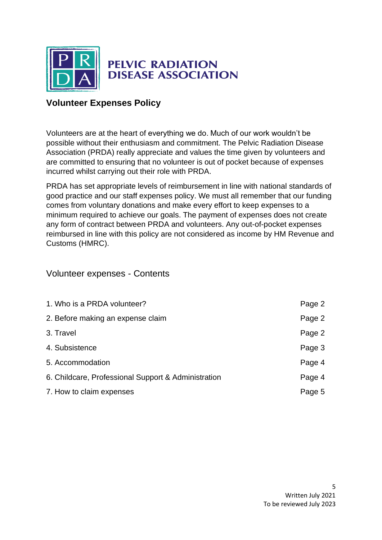

# **Volunteer Expenses Policy**

Volunteers are at the heart of everything we do. Much of our work wouldn't be possible without their enthusiasm and commitment. The Pelvic Radiation Disease Association (PRDA) really appreciate and values the time given by volunteers and are committed to ensuring that no volunteer is out of pocket because of expenses incurred whilst carrying out their role with PRDA.

PRDA has set appropriate levels of reimbursement in line with national standards of good practice and our staff expenses policy. We must all remember that our funding comes from voluntary donations and make every effort to keep expenses to a minimum required to achieve our goals. The payment of expenses does not create any form of contract between PRDA and volunteers. Any out-of-pocket expenses reimbursed in line with this policy are not considered as income by HM Revenue and Customs (HMRC).

# Volunteer expenses - Contents

| 1. Who is a PRDA volunteer?                         | Page 2 |
|-----------------------------------------------------|--------|
| 2. Before making an expense claim                   | Page 2 |
| 3. Travel                                           | Page 2 |
| 4. Subsistence                                      | Page 3 |
| 5. Accommodation                                    | Page 4 |
| 6. Childcare, Professional Support & Administration | Page 4 |
| 7. How to claim expenses                            | Page 5 |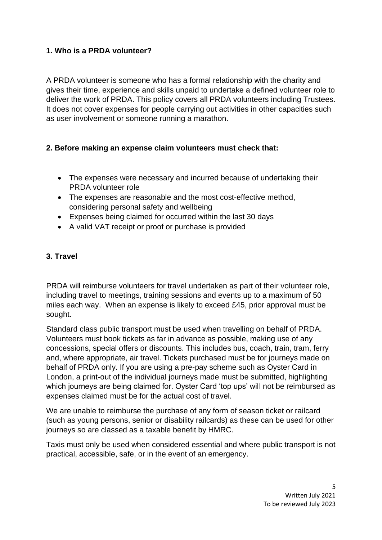### **1. Who is a PRDA volunteer?**

A PRDA volunteer is someone who has a formal relationship with the charity and gives their time, experience and skills unpaid to undertake a defined volunteer role to deliver the work of PRDA. This policy covers all PRDA volunteers including Trustees. It does not cover expenses for people carrying out activities in other capacities such as user involvement or someone running a marathon.

# **2. Before making an expense claim volunteers must check that:**

- The expenses were necessary and incurred because of undertaking their PRDA volunteer role
- The expenses are reasonable and the most cost-effective method, considering personal safety and wellbeing
- Expenses being claimed for occurred within the last 30 days
- A valid VAT receipt or proof or purchase is provided

# **3. Travel**

PRDA will reimburse volunteers for travel undertaken as part of their volunteer role, including travel to meetings, training sessions and events up to a maximum of 50 miles each way. When an expense is likely to exceed £45, prior approval must be sought.

Standard class public transport must be used when travelling on behalf of PRDA. Volunteers must book tickets as far in advance as possible, making use of any concessions, special offers or discounts. This includes bus, coach, train, tram, ferry and, where appropriate, air travel. Tickets purchased must be for journeys made on behalf of PRDA only. If you are using a pre-pay scheme such as Oyster Card in London, a print-out of the individual journeys made must be submitted, highlighting which journeys are being claimed for. Oyster Card 'top ups' will not be reimbursed as expenses claimed must be for the actual cost of travel.

We are unable to reimburse the purchase of any form of season ticket or railcard (such as young persons, senior or disability railcards) as these can be used for other journeys so are classed as a taxable benefit by HMRC.

Taxis must only be used when considered essential and where public transport is not practical, accessible, safe, or in the event of an emergency.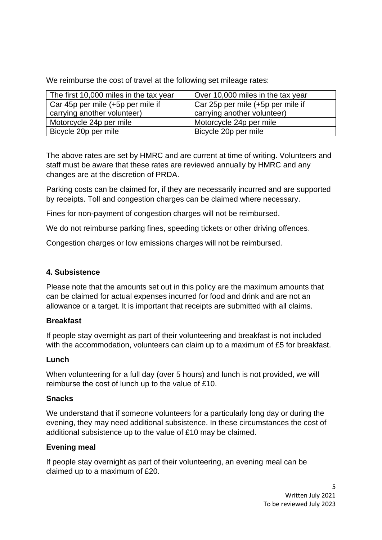We reimburse the cost of travel at the following set mileage rates:

| The first 10,000 miles in the tax year | Over 10,000 miles in the tax year |
|----------------------------------------|-----------------------------------|
| Car 45p per mile (+5p per mile if      | Car 25p per mile (+5p per mile if |
| carrying another volunteer)            | carrying another volunteer)       |
| Motorcycle 24p per mile                | Motorcycle 24p per mile           |
| Bicycle 20p per mile                   | Bicycle 20p per mile              |

The above rates are set by HMRC and are current at time of writing. Volunteers and staff must be aware that these rates are reviewed annually by HMRC and any changes are at the discretion of PRDA.

Parking costs can be claimed for, if they are necessarily incurred and are supported by receipts. Toll and congestion charges can be claimed where necessary.

Fines for non-payment of congestion charges will not be reimbursed.

We do not reimburse parking fines, speeding tickets or other driving offences.

Congestion charges or low emissions charges will not be reimbursed.

# **4. Subsistence**

Please note that the amounts set out in this policy are the maximum amounts that can be claimed for actual expenses incurred for food and drink and are not an allowance or a target. It is important that receipts are submitted with all claims.

# **Breakfast**

If people stay overnight as part of their volunteering and breakfast is not included with the accommodation, volunteers can claim up to a maximum of £5 for breakfast.

# **Lunch**

When volunteering for a full day (over 5 hours) and lunch is not provided, we will reimburse the cost of lunch up to the value of £10.

# **Snacks**

We understand that if someone volunteers for a particularly long day or during the evening, they may need additional subsistence. In these circumstances the cost of additional subsistence up to the value of £10 may be claimed.

#### **Evening meal**

If people stay overnight as part of their volunteering, an evening meal can be claimed up to a maximum of £20.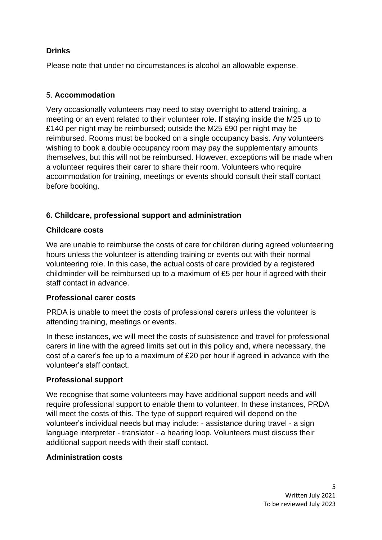### **Drinks**

Please note that under no circumstances is alcohol an allowable expense.

# 5. **Accommodation**

Very occasionally volunteers may need to stay overnight to attend training, a meeting or an event related to their volunteer role. If staying inside the M25 up to £140 per night may be reimbursed; outside the M25 £90 per night may be reimbursed. Rooms must be booked on a single occupancy basis. Any volunteers wishing to book a double occupancy room may pay the supplementary amounts themselves, but this will not be reimbursed. However, exceptions will be made when a volunteer requires their carer to share their room. Volunteers who require accommodation for training, meetings or events should consult their staff contact before booking.

# **6. Childcare, professional support and administration**

#### **Childcare costs**

We are unable to reimburse the costs of care for children during agreed volunteering hours unless the volunteer is attending training or events out with their normal volunteering role. In this case, the actual costs of care provided by a registered childminder will be reimbursed up to a maximum of £5 per hour if agreed with their staff contact in advance.

#### **Professional carer costs**

PRDA is unable to meet the costs of professional carers unless the volunteer is attending training, meetings or events.

In these instances, we will meet the costs of subsistence and travel for professional carers in line with the agreed limits set out in this policy and, where necessary, the cost of a carer's fee up to a maximum of £20 per hour if agreed in advance with the volunteer's staff contact.

#### **Professional support**

We recognise that some volunteers may have additional support needs and will require professional support to enable them to volunteer. In these instances, PRDA will meet the costs of this. The type of support required will depend on the volunteer's individual needs but may include: - assistance during travel - a sign language interpreter - translator - a hearing loop. Volunteers must discuss their additional support needs with their staff contact.

#### **Administration costs**